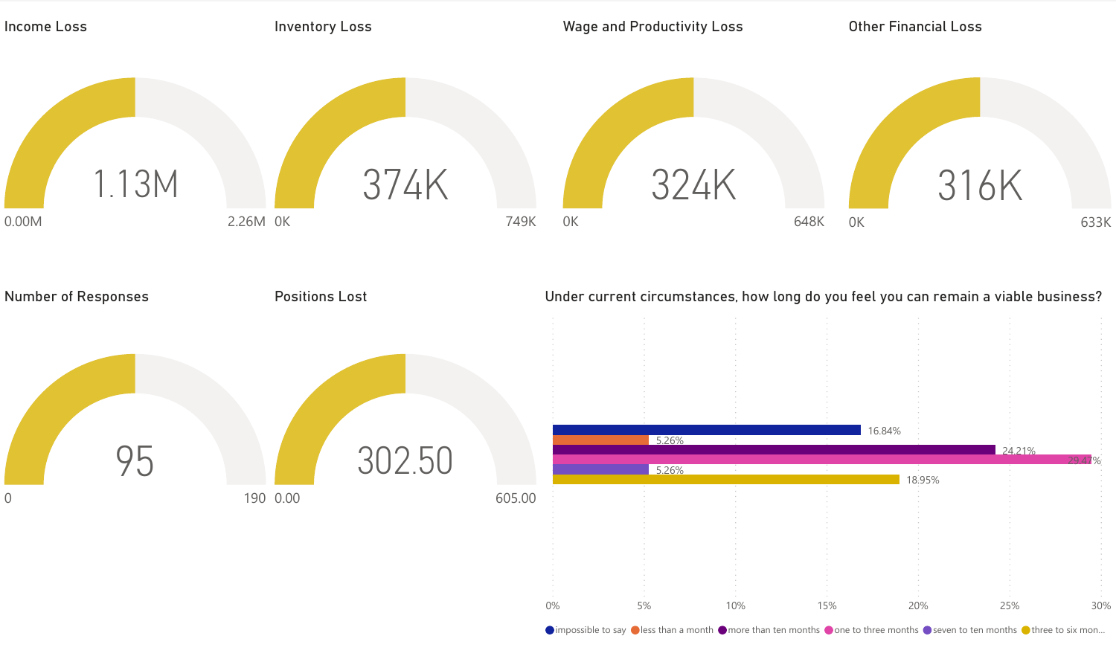

 $\bullet$  impossible to say  $\bullet$  less than a month  $\bullet$  more than ten months  $\bullet$  one to three months  $\bullet$  seven to ten months  $\bullet$  three to six mon...